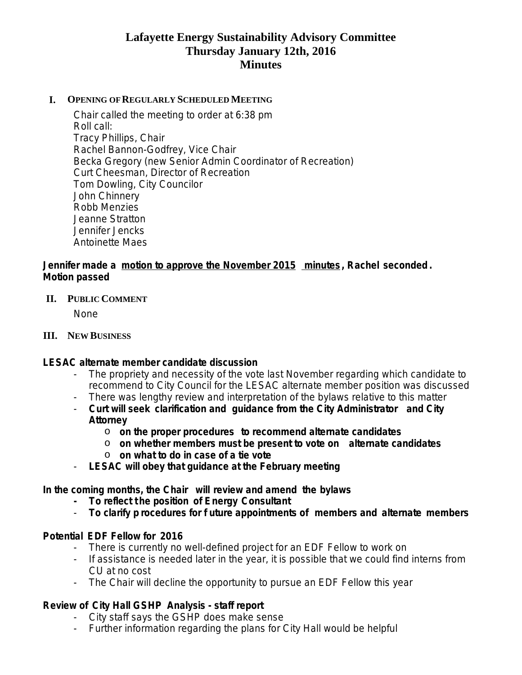# **Lafayette Energy Sustainability Advisory Committee Thursday January 12th, 2016 Minutes**

#### **I. OPENING OF REGULARLY SCHEDULED MEETING**

Chair called the meeting to order at 6:38 pm Roll call: Tracy Phillips, Chair Rachel Bannon-Godfrey, Vice Chair Becka Gregory (new Senior Admin Coordinator of Recreation) Curt Cheesman, Director of Recreation Tom Dowling, City Councilor John Chinnery Robb Menzies Jeanne Stratton Jennifer Jencks Antoinette Maes

### **Jennifer made a motion to approve the November 2015 minutes , Rachel seconded . Motion passed**

#### **II. PUBLIC COMMENT**

None

#### **III. NEW BUSINESS**

### **LESAC alternate member candidate discussion**

- The propriety and necessity of the vote last November regarding which candidate to recommend to City Council for the LESAC alternate member position was discussed
- There was lengthy review and interpretation of the bylaws relative to this matter
- **Curt will seek clarification and guidance from the City Administrator and City Attorney** 
	- o **on the proper procedures to recommend alternate candidates**
	- o **on whether members must be present to vote on alternate candidates** o **on what to do in case of a tie vote**
- **LESAC will obey that guidance at the February meeting**

**In the coming months, the Chair will review and amend the bylaws**

- **- To reflect t he position of Energy Consultant**
- **To clarify p rocedures for f uture appointments of members and alternate members**

### **Potential EDF Fellow for 2016**

- There is currently no well-defined project for an EDF Fellow to work on
- If assistance is needed later in the year, it is possible that we could find interns from CU at no cost
- The Chair will decline the opportunity to pursue an EDF Fellow this year

### **Review of City Hall GSHP Analysis - staff report**

- City staff says the GSHP does make sense

- Further information regarding the plans for City Hall would be helpful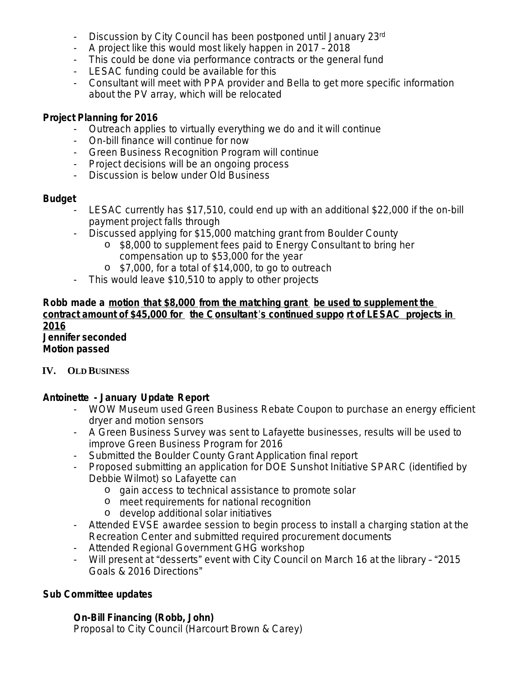- Discussion by City Council has been postponed until January 23rd
- A project like this would most likely happen in 2017 2018
- This could be done via performance contracts or the general fund
- LESAC funding could be available for this
- Consultant will meet with PPA provider and Bella to get more specific information about the PV array, which will be relocated

### **Project Planning for 2016**

- Outreach applies to virtually everything we do and it will continue
- On-bill finance will continue for now
- Green Business Recognition Program will continue
- Project decisions will be an ongoing process
- Discussion is below under Old Business

### **Budget**

- LESAC currently has \$17,510, could end up with an additional \$22,000 if the on-bill payment project falls through
- Discussed applying for \$15,000 matching grant from Boulder County
	- o \$8,000 to supplement fees paid to Energy Consultant to bring her compensation up to \$53,000 for the year
	- o \$7,000, for a total of \$14,000, to go to outreach
- This would leave \$10,510 to apply to other projects

### **Robb made a motion that \$8,000 from the matching grant be used to supplement the contract amount of \$45,000 for the Consultant** '**s continued suppo rt of LESAC projects in 2016 Jennifer seconded**

**Motion passed**

### **IV. OLD BUSINESS**

# **Antoinette - January Update Report**

- WOW Museum used Green Business Rebate Coupon to purchase an energy efficient dryer and motion sensors
- A Green Business Survey was sent to Lafayette businesses, results will be used to improve Green Business Program for 2016
- Submitted the Boulder County Grant Application final report
- Proposed submitting an application for DOE Sunshot Initiative SPARC (identified by Debbie Wilmot) so Lafayette can
	- o gain access to technical assistance to promote solar
	- o meet requirements for national recognition
	- o develop additional solar initiatives
- Attended EVSE awardee session to begin process to install a charging station at the Recreation Center and submitted required procurement documents
- Attended Regional Government GHG workshop
- Will present at "desserts" event with City Council on March 16 at the library "2015 Goals & 2016 Directions"

# **Sub Committee updates**

# **On-Bill Financing (Robb, John)**

Proposal to City Council (Harcourt Brown & Carey)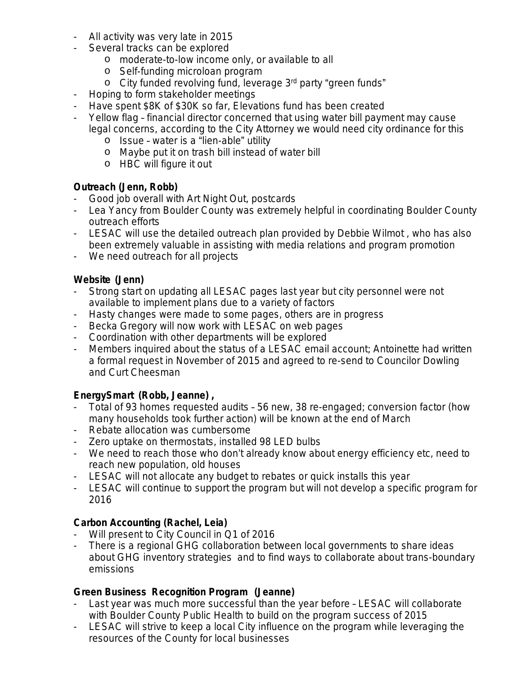- All activity was very late in 2015
- Several tracks can be explored
	- o moderate-to-low income only, or available to all
	- o Self-funding microloan program
	- o City funded revolving fund, leverage 3rd party "green funds"
- Hoping to form stakeholder meetings
- Have spent \$8K of \$30K so far, Elevations fund has been created
- Yellow flag financial director concerned that using water bill payment may cause legal concerns, according to the City Attorney we would need city ordinance for this
	- o Issue water is a "lien-able" utility
	- o Maybe put it on trash bill instead of water bill
	- o HBC will figure it out

### **Outreach (Jenn, Robb)**

- Good job overall with Art Night Out, postcards
- Lea Yancy from Boulder County was extremely helpful in coordinating Boulder County outreach efforts
- LESAC will use the detailed outreach plan provided by Debbie Wilmot , who has also been extremely valuable in assisting with media relations and program promotion
- We need outreach for all projects

### **Website (Jenn)**

- Strong start on updating all LESAC pages last year but city personnel were not available to implement plans due to a variety of factors
- Hasty changes were made to some pages, others are in progress
- Becka Gregory will now work with LESAC on web pages
- Coordination with other departments will be explored
- Members inquired about the status of a LESAC email account; Antoinette had written a formal request in November of 2015 and agreed to re-send to Councilor Dowling and Curt Cheesman

# **EnergySmart (Robb, Jeanne) ,**

- Total of 93 homes requested audits 56 new, 38 re-engaged; conversion factor (how many households took further action) will be known at the end of March
- Rebate allocation was cumbersome
- Zero uptake on thermostats, installed 98 LED bulbs
- We need to reach those who don't already know about energy efficiency etc, need to reach new population, old houses
- LESAC will not allocate any budget to rebates or quick installs this year
- LESAC will continue to support the program but will not develop a specific program for 2016

# **Carbon Accounting (Rachel, Leia)**

- Will present to City Council in Q1 of 2016
- There is a regional GHG collaboration between local governments to share ideas about GHG inventory strategies and to find ways to collaborate about trans-boundary emissions

# **Green Business Recognition Program (Jeanne)**

- Last year was much more successful than the year before LESAC will collaborate with Boulder County Public Health to build on the program success of 2015
- LESAC will strive to keep a local City influence on the program while leveraging the resources of the County for local businesses